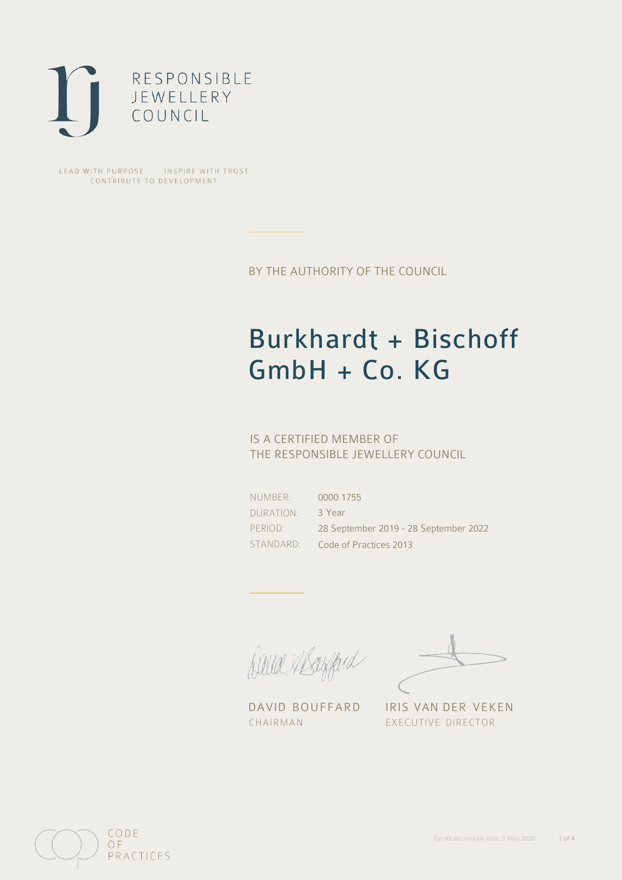

LEAD WITH PURPOSE . INSPIRE WITH TRUST CONTRIBUTE TO DEVELOPMENT

BY THE AUTHORITY OF THE COUNCIL

# Burkhardt + Bischoff GmbH + Co. KG

## IS A CERTIFIED MEMBER OF THE RESPONSIBLE JEWELLERY COUNCIL

NUMBER: DURATION: PERIOD:

STANDARD: Code of Practices 2013 0000 1755 3 Year 28 September 2019 - 28 September 2022

David Alsofferd

DAVID BOUFFARD IRIS VAN DER VEKEN CHAIRMAN EXECUTIVE DIRECTOR

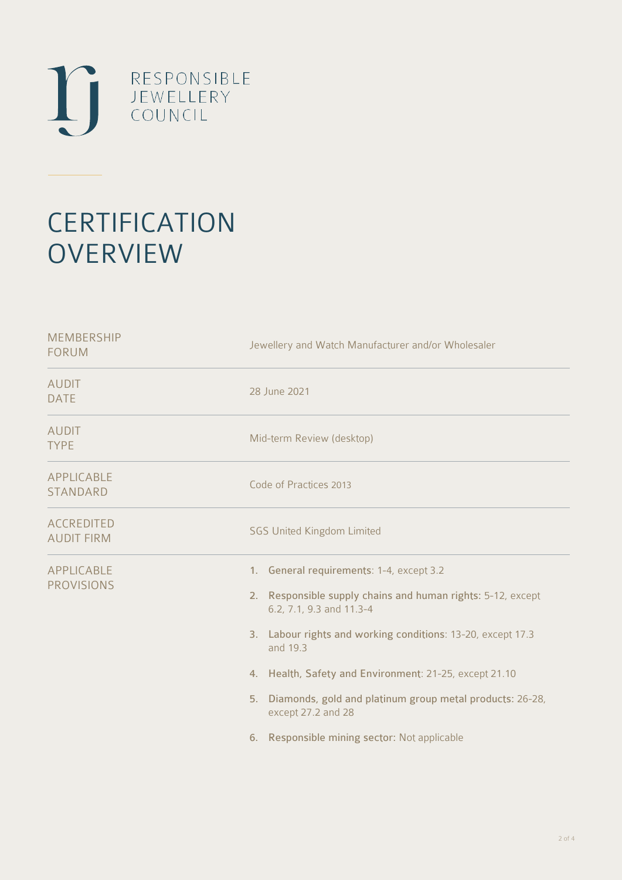

# **CERTIFICATION OVERVIEW**

| <b>MEMBERSHIP</b><br><b>FORUM</b>      | Jewellery and Watch Manufacturer and/or Wholesaler                                                                                                                                                                                                                                                                                                                                                               |  |
|----------------------------------------|------------------------------------------------------------------------------------------------------------------------------------------------------------------------------------------------------------------------------------------------------------------------------------------------------------------------------------------------------------------------------------------------------------------|--|
| <b>AUDIT</b><br><b>DATE</b>            | 28 June 2021                                                                                                                                                                                                                                                                                                                                                                                                     |  |
| <b>AUDIT</b><br><b>TYPE</b>            | Mid-term Review (desktop)                                                                                                                                                                                                                                                                                                                                                                                        |  |
| APPLICABLE<br><b>STANDARD</b>          | Code of Practices 2013                                                                                                                                                                                                                                                                                                                                                                                           |  |
| <b>ACCREDITED</b><br><b>AUDIT FIRM</b> | <b>SGS United Kingdom Limited</b>                                                                                                                                                                                                                                                                                                                                                                                |  |
| APPLICABLE<br><b>PROVISIONS</b>        | 1. General requirements: 1-4, except 3.2<br>2. Responsible supply chains and human rights: 5-12, except<br>6.2, 7.1, 9.3 and 11.3-4<br>3. Labour rights and working conditions: 13-20, except 17.3<br>and 19.3<br>4. Health, Safety and Environment: 21-25, except 21.10<br>Diamonds, gold and platinum group metal products: 26-28,<br>5.<br>except 27.2 and 28<br>6. Responsible mining sector: Not applicable |  |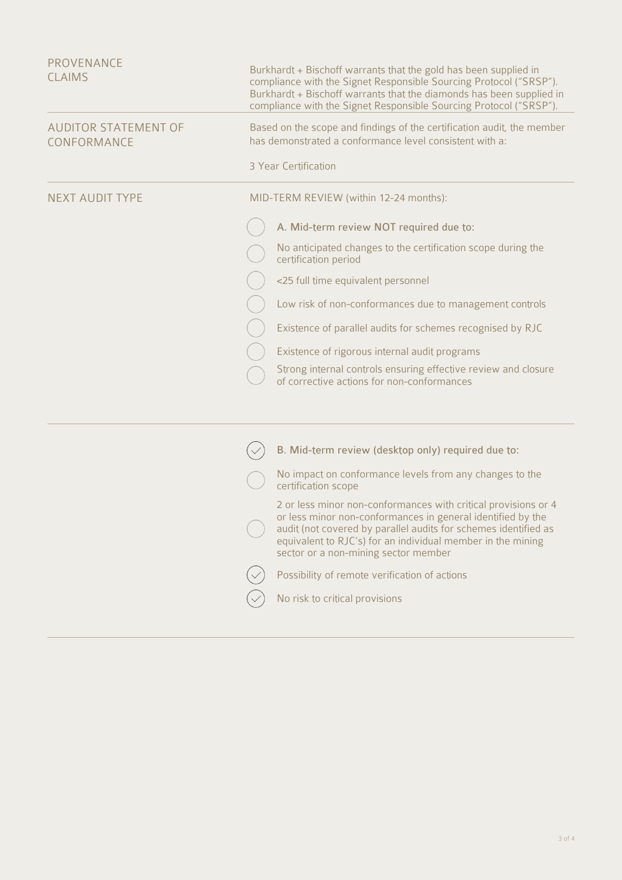| PROVENANCE<br><b>CLAIMS</b>                | Burkhardt + Bischoff warrants that the gold has been supplied in<br>compliance with the Signet Responsible Sourcing Protocol ("SRSP").<br>Burkhardt + Bischoff warrants that the diamonds has been supplied in<br>compliance with the Signet Responsible Sourcing Protocol ("SRSP").                    |  |
|--------------------------------------------|---------------------------------------------------------------------------------------------------------------------------------------------------------------------------------------------------------------------------------------------------------------------------------------------------------|--|
| <b>AUDITOR STATEMENT OF</b><br>CONFORMANCE | Based on the scope and findings of the certification audit, the member<br>has demonstrated a conformance level consistent with a:<br>3 Year Certification                                                                                                                                               |  |
| <b>NEXT AUDIT TYPE</b>                     | MID-TERM REVIEW (within 12-24 months):                                                                                                                                                                                                                                                                  |  |
|                                            | A. Mid-term review NOT required due to:                                                                                                                                                                                                                                                                 |  |
|                                            | No anticipated changes to the certification scope during the<br>certification period                                                                                                                                                                                                                    |  |
|                                            | <25 full time equivalent personnel                                                                                                                                                                                                                                                                      |  |
|                                            | Low risk of non-conformances due to management controls                                                                                                                                                                                                                                                 |  |
|                                            | Existence of parallel audits for schemes recognised by RJC                                                                                                                                                                                                                                              |  |
|                                            | Existence of rigorous internal audit programs                                                                                                                                                                                                                                                           |  |
|                                            | Strong internal controls ensuring effective review and closure<br>of corrective actions for non-conformances                                                                                                                                                                                            |  |
|                                            |                                                                                                                                                                                                                                                                                                         |  |
|                                            | B. Mid-term review (desktop only) required due to:                                                                                                                                                                                                                                                      |  |
|                                            | No impact on conformance levels from any changes to the<br>certification scope                                                                                                                                                                                                                          |  |
|                                            | 2 or less minor non-conformances with critical provisions or 4<br>or less minor non-conformances in general identified by the<br>audit (not covered by parallel audits for schemes identified as<br>equivalent to RJC's) for an individual member in the mining<br>sector or a non-mining sector member |  |
|                                            | Possibility of remote verification of actions                                                                                                                                                                                                                                                           |  |
|                                            | No risk to critical provisions                                                                                                                                                                                                                                                                          |  |